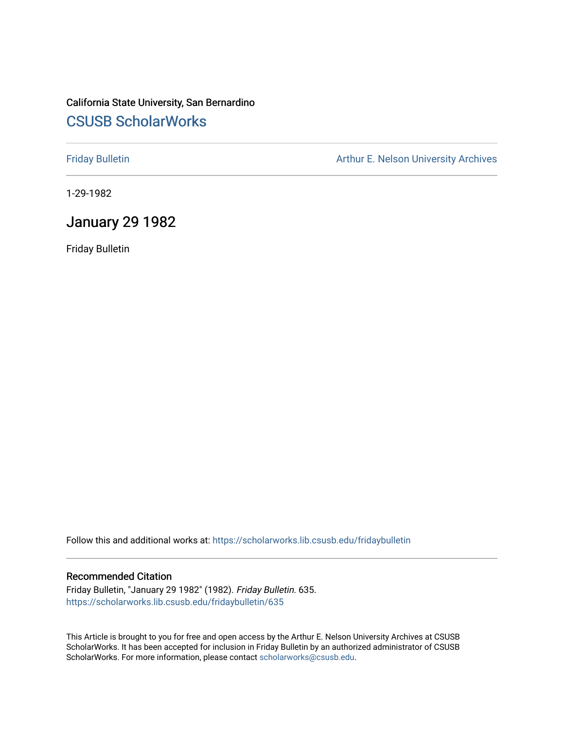# California State University, San Bernardino [CSUSB ScholarWorks](https://scholarworks.lib.csusb.edu/)

[Friday Bulletin](https://scholarworks.lib.csusb.edu/fridaybulletin) **Arthur E. Nelson University Archives** Arthur E. Nelson University Archives

1-29-1982

### January 29 1982

Friday Bulletin

Follow this and additional works at: [https://scholarworks.lib.csusb.edu/fridaybulletin](https://scholarworks.lib.csusb.edu/fridaybulletin?utm_source=scholarworks.lib.csusb.edu%2Ffridaybulletin%2F635&utm_medium=PDF&utm_campaign=PDFCoverPages)

### Recommended Citation

Friday Bulletin, "January 29 1982" (1982). Friday Bulletin. 635. [https://scholarworks.lib.csusb.edu/fridaybulletin/635](https://scholarworks.lib.csusb.edu/fridaybulletin/635?utm_source=scholarworks.lib.csusb.edu%2Ffridaybulletin%2F635&utm_medium=PDF&utm_campaign=PDFCoverPages)

This Article is brought to you for free and open access by the Arthur E. Nelson University Archives at CSUSB ScholarWorks. It has been accepted for inclusion in Friday Bulletin by an authorized administrator of CSUSB ScholarWorks. For more information, please contact [scholarworks@csusb.edu.](mailto:scholarworks@csusb.edu)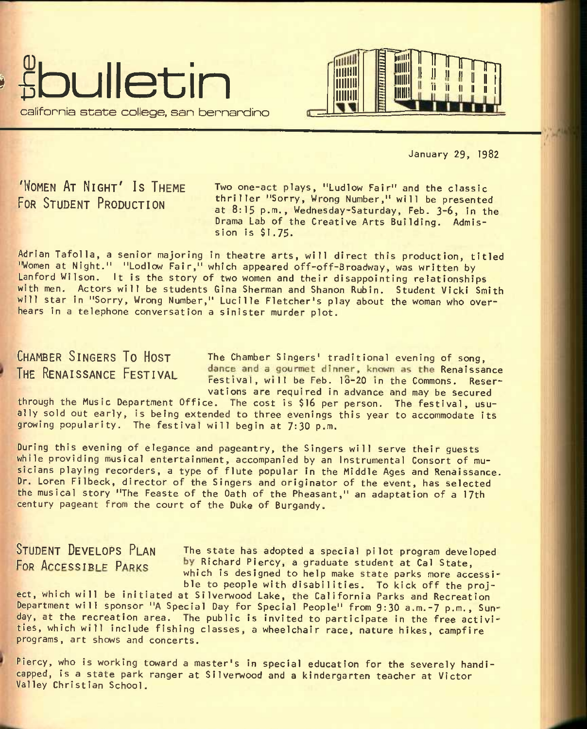



January 29, 1982

'WOMEN AT NIGHT' IS THEME FOR STUDENT PRODUCTION

**Two one-act plays, "Ludlow Fair" and the classic thriller "Sorry, Wrong Number," will be presented at 8:15 p.m., Wednesday-Saturday, Feb. 3-6, in the Drama Lab of the Creative Arts Building. Admission is \$1.75.** 

Adrian Tafolla, a senior majoring in theatre arts, will direct this production, titled "Women at Night." "Lodlow Fair," which appeared off-off-Broadway, was written by Lanford Wilson. It is the story of two women and their disappointing relationships with men. Actors will be students Gina Sherman and Shanon Rubin. Student Vicki Smith will star in "Sorry, Wrong Number," Lucille Fletcher's play about the woman who overhears in a telephone conversation a sinister murder plot.

# THE RENAISSANCE FESTIVAL

CHAMBER SINGERS TO HOST The Chamber Singers' traditional evening of song,<br>THE PENAICOANCE EFOTIVALE dance and a gourmet dinner, known as the Renaissance Festival, will be Feb. 18-20 in the Commons. Reservations are required in advance and may be secured

through the Music Department Office. The cost is \$16 per person. The festival, usually sold out early, is being extended to three evenings this year to accommodate its growing popularity. The festival will begin at 7:30 p.m.

During this evening of elegance and pageantry, the Singers will serve their guests while providing musical entertainment, accompanied by an Instrumental Consort of musicians playing recorders, a type of flute popular in the Middle Ages and Renaissance. Dr. Loren Filbeck, director of the Singers and originator of the event, has selected the musical story "The Feaste of the Oath of the Pheasant," an adaptation of a 17th century pageant from the court of the Duke of Burgandy.

STUDENT DEVELOPS PLAN The state has adopted a special pilot program developed FOR ACCESSIBLE PARKS by Richard Piercy, a graduate student at Cal State, which is designed to help make state parks more accessible to people with disabilities. To kick off the proj-

ect, which will be initiated at Silverwood Lake, the California Parks and Recreation Department will sponsor "A Special Day for Special People" from 9:30 a.m.-7 p.m., Sunday, at the recreation area. The public is invited to participate in the free activities, which will include fishing classes, a wheelchair race, nature hikes, campfire programs, art shows and concerts.

Piercy, who is working toward a master's in special education for the severely handicapped, is a state park ranger at Silverwood and a kindergarten teacher at Victor Valley Christian School.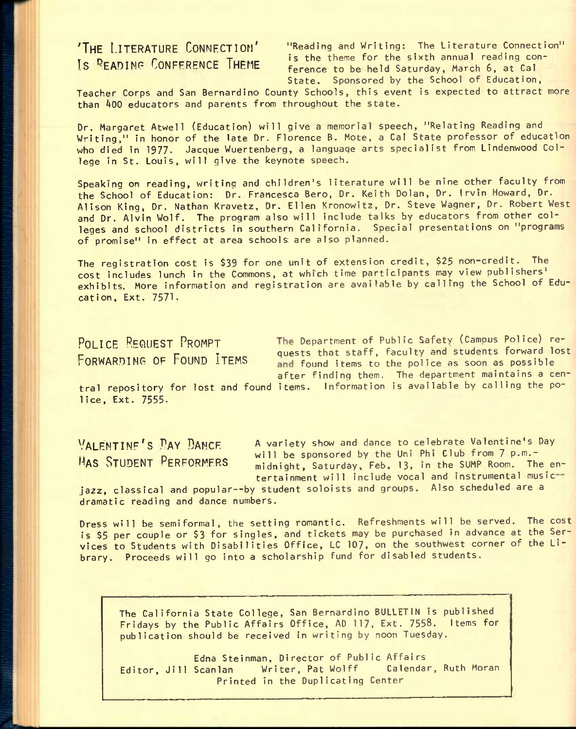'THE I ITERATURE CONNECTION' "Reading and Writing: The Literature Connection" **THE PLANTICAL COMMONS COMMONS** is the theme for the sixth annual reading con-<br>Is READING CONFERENCE THEME foregoe to be held Saturday, March 6, at Cal ference to be held Saturday, March 6, at Cal State. Sponsored by the School of Education,

Teacher Corps and San Bernardino County Schools, this event is expected to attract more than 400 educators and parents from throughout the state.

Dr. Margaret Atwell (Education) will give a memorial speech, "Relating Reading and Writing," in honor of the late Dr. Florence B. Mote, a Cal State professor of education who died in 1977. Jacque Wuertenberg, a language arts specialist from Lindenwood College in St. Louis, will give the keynote speech.

Speaking on reading, writing and children's literature will be nine other faculty from the School of Education: Dr. Francesca Bero, Dr. Keith Dolan, Dr. Irvin Howard, Dr. Alison King, Dr. Nathan Kravetz, Dr. Ellen Kronowitz, Dr. Steve Wagner, Dr. Robert West and Dr. Alvin Wolf. The program also will include talks by educators from other colleges and school districts in southern California. Special presentations on "programs of promise" in effect at area schools are also planned.

The registration cost is \$39 for one unit of extension credit, \$25 non-credit. The cost includes lunch in the Commons, at which time participants may view publishers' exhibits. More information and registration are available by calling the School of Education, Ext. 7571.

POLICE REQUEST PROMPT The Department of Public Safety (Campus Police) re-FORWARDING OF FOUND ITEMS quests that staff, faculty and students forward lost and found items to the police as soon as possible after finding them. The department maintains a cen-

tral repository for lost and found items. Information is available by calling the police, Ext. 7555-

VALENTINE'S PAY DANCE A variety show and dance to celebrate Valentine's Day WILL BE Sponsored by the Uni Phi Club from 7 p.m.-<br>HAS STUDENT PERFORMERS attricks Seturday Eeb 12 in the SUMP Room. The midnight, Saturday, Feb. 13, in the SUMP Room. The entertainment will include vocal and instrumental music

jazz, classical and popular--by student soloists and groups. Also scheduled are a dramatic reading and dance numbers.

Dress will be semiformal, the setting romantic. Refreshments will be served. The cost is \$5 per couple or \$3 for singles, and tickets may be purchased in advance at the Services to Students with Disabilities Office, LC 107, on the southwest corner of the Library. Proceeds will go into a scholarship fund for disabled students.

The California State College, San Bernardino BULLETIN is published Fridays by the Public Affairs Office, AD 117, Ext. 7558. Items for publication should be received in writing by noon Tuesday.

Edna Steinman, Director of Public Affairs<br>Scanlan Writer, Pat Wolff Calendar, Ruth Moran Editor, Jill Scanlan Writer, Pat Wolff Printed in the Duplicating Center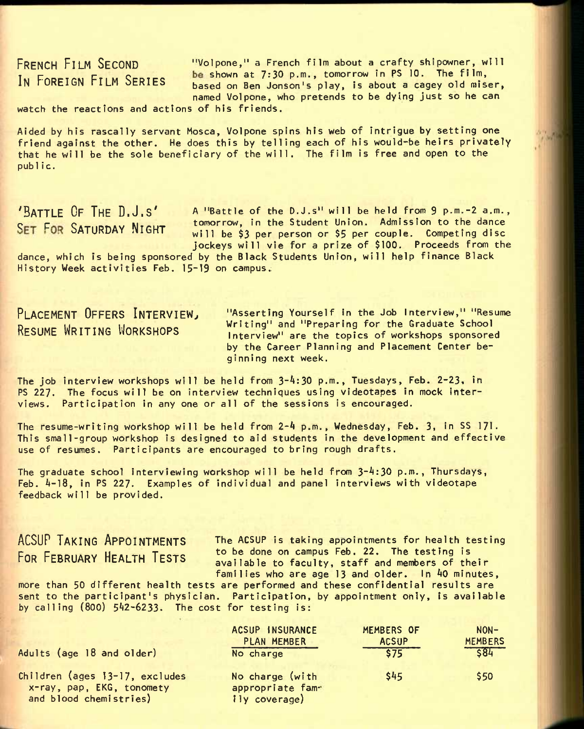FRENCH FILM SECOND "Volpone," a French film about a crafty shipowner, will IN FOREIGN FILM SERIES be shown at 7:30 p.m., tomorrow in PS 10. The film, based on Ben Jonson's play, is about a cagey old miser, named Volpone, who pretends to be dying just so he can

watch the reactions and actions of his friends.

Aided by his rascally servant Mosca, Volpone spins his web of intrigue by setting one friend against the other. He does this by telling each of his would-be heirs privately that he will be the sole beneficiary of the will. The film is free and open to the public.

'BATTLE OF THE D.J.S' A "Battle of the D.J.s" will be held from 9 p.m.-2 a.m.,  $S$  p  $\overline{S}$  p  $\overline{S}$   $\overline{S}$  and  $\overline{S}$   $\overline{S}$  and  $\overline{S}$  and  $\overline{S}$  and  $\overline{S}$  and  $\overline{S}$  and  $\overline{S}$  and  $\overline{S}$  and  $\overline{S}$  and  $\overline{S}$  and  $\overline{S}$  and  $\overline{S}$  and  $\overline{S}$  and  $\overline{S}$  and  $\overline$ will be \$3 per person or \$5 per couple. Competing disc jockeys will vie for a prize of \$100. Proceeds from the

dance, which is being sponsored by the Black Students Union, will help finance Black History Week activities Feb. 15~19 on campus.;

PLACEMENT OFFERS INTERVIEW, RESUME WRITING WORKSHOPS

"Asserting Yourself in the Job Interview," "Resume Writing" and "Preparing for the Graduate School Interview" are the topics of workshops sponsored by the Career Planning and Placement Center beginning next week.

The job interview workshops will be held from 3-4:30 p.m., Tuesdays, Feb. 2-23, in PS 227. The focus will be on interview techniques using videotapes in mock Interviews. Participation in any one or all of the sessions is encouraged.

The resume-writing workshop will be held from Z-k p.m., Wednesday, Feb. 3, in SS 171. This small-group workshop is designed to aid students in the development and effective use of resumes. Participants are encouraged to bring rough drafts.

The graduate school interviewing workshop will be held from 3-4:30 p.m., Thursdays, Feb.  $4-18$ , in PS 227. Examples of individual and panel interviews with videotape feedback will be provided.

# ACSUP TAKING APPOINTMENTS FOR FEBRUARY HEALTH TESTS

The ACSUP is taking appointments for health testing to be done on campus Feb. 22. The testing is available to faculty, staff and members of their families who are age 13 and older. In 40 minutes,

more than 50 different health tests are performed and these confidential results are sent to the participant's physician. Participation, by appointment only, is available by calling  $(800)$  542-6233. The cost for testing is:

| Adults (age 18 and older)                                                             | ACSUP INSURANCE                                      | MEMBERS OF   | $NON-$         |
|---------------------------------------------------------------------------------------|------------------------------------------------------|--------------|----------------|
|                                                                                       | PLAN MEMBER                                          | <b>ACSUP</b> | <b>MEMBERS</b> |
|                                                                                       | No charge                                            | \$75         | $ 584$         |
| Children (ages 13-17, excludes<br>x-ray, pap, EKG, tonomety<br>and blood chemistries) | No charge (with<br>appropriate fam-<br>ily coverage) | \$45         | \$50           |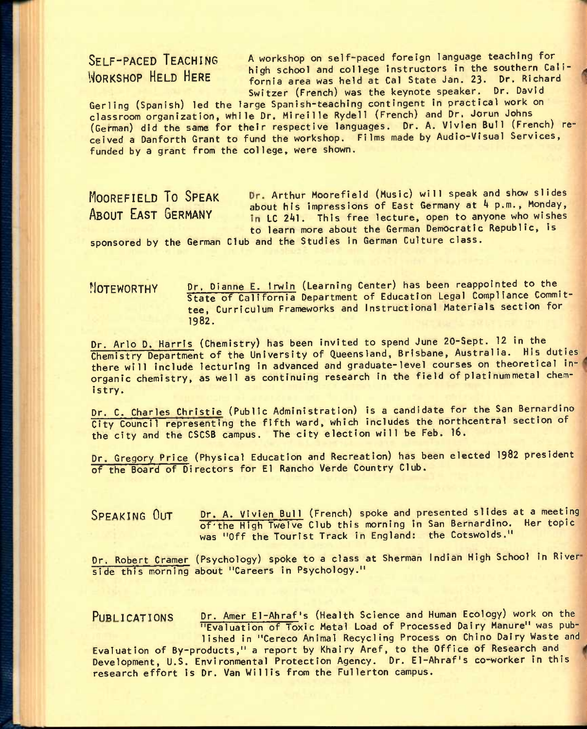SELF-PACED TEACHING A workshop on self-paced foreign language teaching for under the southern Cali-<br>WORKSHOP HELD HERE forning area was held at Cal State Jan. 23. Dr. Richard fornia area was held at Cal State Jan. 23. Dr. Richard Switzer (French) was the keynote speaker. Dr. David

Gerling (Spanish) led the large Spanish-teaching contingent in practical work on classroom organization, while Dr. Mireille Rydell (French) and Dr. Jorun Johns (German) did the same for their respective languages. Dr. A. Vivien Bull (French) received a Oanforth Grant to fund the workshop. Films made by Audio-Visual Services, funded by a grant from the college, were shown.

MOOREFIELD TO SPEAK Dr. Arthur Moorefield (Music) will speak and show slides . The contract the contract of the impressions of East Germany at 4 p.m., Monday,<br>ABOUT EAST GERMANY in it 241. This free lecture, open to anyone who wishes in LC 241. This free lecture, open to anyone who wishes to learn more about the German Democratic Republic, is

sponsored by the German Club and the Studies in German Culture class.

NOTEWORTHY Dr. Dianne E. Irwin (Learning Center) has been reappointed to the State of California Department of Education Legal Compliance Committee, Curriculum Frameworks and Instructional Materials section for 1982.

Dr. Arlo D. Harris (Chemistry) has been invited to spend June 20-Sept. 12 in the Chemistry Department of the University of Queensland, Brisbane, Australia. His duties there will include lecturing in advanced and graduate-level courses on theoretical inorganic chemistry, as well as continuing research in the field of platinummetal chemistry.

Dr. C. Charles Christie (Public Administration) is a candidate for the San Bernardino City Council representing the fifth ward, which includes the northcentral section of the city and the CSCSB campus. The city election will be Feb. 16.

Dr. Gregory Price (Physical Education and Recreation) has been elected 1982 president of the Board of Directors for El Rancho Verde Country Club.

SPEAKING OUT Dr. A. Vivien Bull (French) spoke and presented slides at a meeting of'the High Twelve Club this morning in San Bernardino. Her topic was "Off the Tourist Track in England: the Cotswolds."

Dr. Robert Cramer (Psychology) spoke to a class at Sherman Indian High School in River side this morning about "Careers in Psychology."

PUBLICATIONS Dr. Amer El-Ahraf's (Health Science and Human Ecology) work on the "Evaluation of Toxic Metal Load of Processed Dairy Manure" was published in "Cereco Animal Recycling Process on Chino Dairy Waste and

Evaluation of By-products," a report by Khairy Aref, to the Office of Research and Development, U.S. Environmental Protection Agency. Dr. El-Ahraf's co-worker in this research effort is Dr. Van Willis from the Fullerton campus.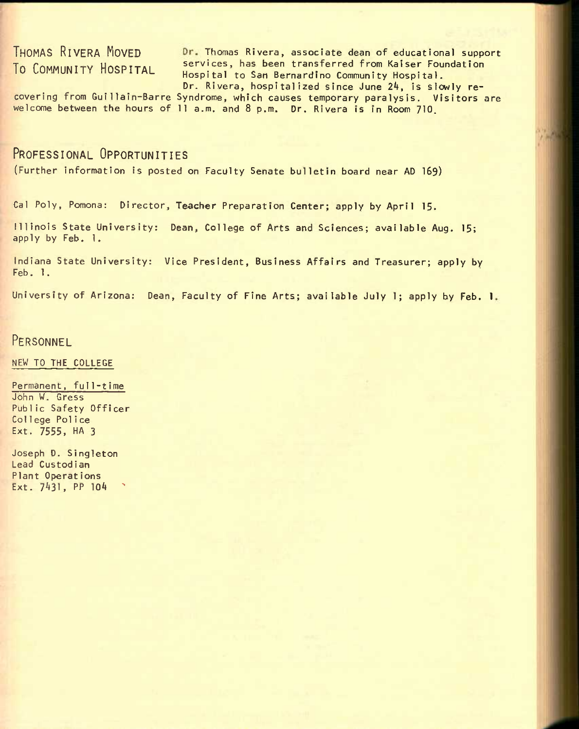THOMAS RIVERA MOVED Dr. Thomas Rivera, associate dean of educational support To COMMUNITY HOSPITAL services, has been transferred from Kaiser Foundation Hospital to San Bernardino Community Hospital. Dr. Rivera, hospitalized since June 24, is slowly re-

covering from Gul1lain-Barre Syndrome, which causes temporary paralysis. Visitors are welcome between the hours of 11 a.m. and 8 p.m. Dr. Rivera is in Room 710.

### PROFESSIONAL OPPORTUNITIES

(Further information Is posted on Faculty Senate bulletin board near AD 169)

Cal Poly, Pomona: Director, Teacher Preparation Center; apply by April 15.

illlnois State University: Dean, College of Arts and Sciences; available Aug. 15; apply by Feb. 1.

Indiana State University: Vice President, Business Affairs and Treasurer; apply by Feb. 1.

University of Arizona: Dean, Faculty of Fine Arts; available July 1; apply by Feb. 1

### PERSONNEL

NEW TO THE COLLEGE

Permanent, full-time John W. Gress Public Safety Officer Col lege Poli ce Ext. 7555, HA 3

Joseph D. Singleton Lead Custodian Plant Operations Ext. 7431, PP 104 ^